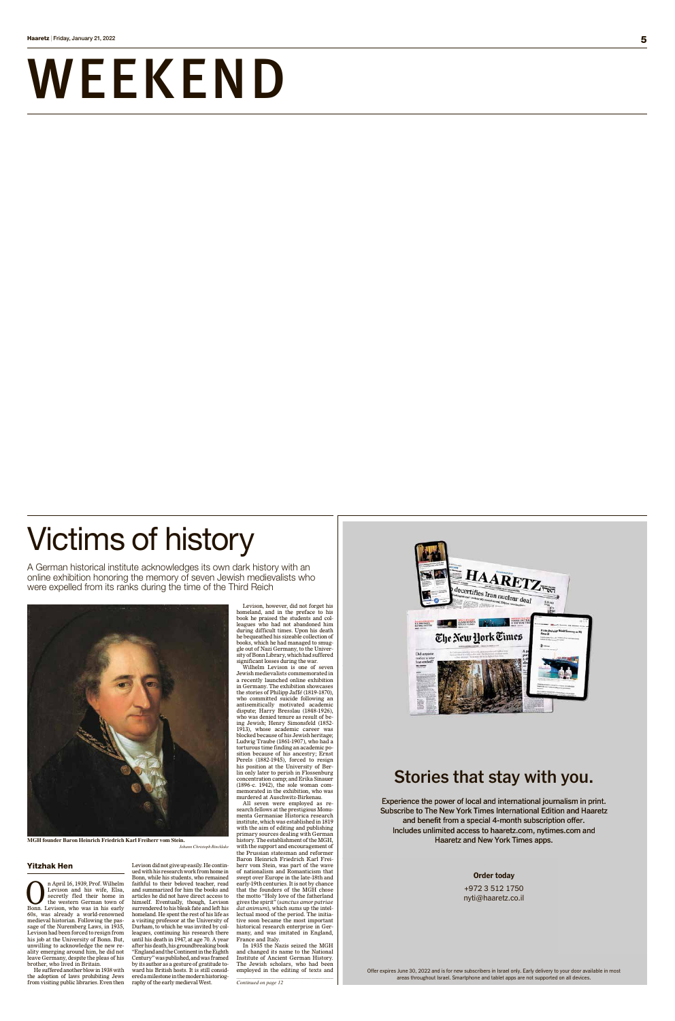# WEEKEND

Offer expires June 30, 2022 and is for new subscribers in Israel only. Early delivery to your door available in most areas throughout Israel. Smartphone and tablet apps are not supported on all devices.

### **Order today**

+972 3 512 1750 nyti@haaretz.co.il

Experience the power of local and international journalism in print. Subscribe to The New York Times International Edition and Haaretz and benefit from a special 4-month subscription offer. Includes unlimited access to haaretz.com, nytimes.com and Haaretz and New York Times apps.

## **Stories that stay with you.**

**Configurer 18, 1939, Prof. Wilhelm**<br>Levison and his wife, Elsa,<br>secretly fled their home in<br>the western German town of<br>Ronn Levison who was in his early Levison and his wife, Elsa, secretly fled their home in the western German town of Bonn. Levison, who was in his early 60s, was already a world-renowned medieval historian. Following the passage of the Nuremberg Laws, in 1935, Levison had been forced to resign from his job at the University of Bonn. But, unwilling to acknowledge the new reality emerging around him, he did not leave Germany, despite the pleas of his brother, who lived in Britain.

## Yitzhak Hen

He suffered another blow in 1938 with the adoption of laws prohibiting Jews from visiting public libraries. Even then

Levison did not give up easily. He continued with his research work from home in Bonn, while his students, who remained faithful to their beloved teacher, read and summarized for him the books and articles he did not have direct access to himself. Eventually, though, Levison surrendered to his bleak fate and left his homeland. He spent the rest of his life as a visiting professor at the University of Durham, to which he was invited by colleagues, continuing his research there until his death in 1947, at age 70. A year after his death, his groundbreaking book "England and the Continent in the Eighth Century" was published, and was framed by its author as a gesture of gratitude toward his British hosts. It is still considered a milestone in the modern historiography of the early medieval West.

Levison, however, did not forget his homeland, and in the preface to his book he praised the students and colleagues who had not abandoned him during difficult times. Upon his death he bequeathed his sizeable collection of books, which he had managed to smuggle out of Nazi Germany, to the University of Bonn Library, which had suffered significant losses during the war.

Wilhelm Levison is one of seven Jewish medievalists commemorated in a recently launched online exhibition in Germany. The exhibition showcases the stories of Philipp Jaff*é* (1819-1870), who committed suicide following an antisemitically motivated academic dispute; Harry Bresslau (1848-1926), who was denied tenure as result of being Jewish; Henry Simonsfeld (1852- 1913), whose academic career was blocked because of his Jewish heritage; Ludwig Traube (1861-1907), who had a torturous time finding an academic position because of his ancestry; Ernst Perels (1882-1945), forced to resign his position at the University of Berlin only later to perish in Flossenburg concentration camp; and Erika Sinauer (1896-c. 1942), the sole woman commemorated in the exhibition, who was murdered at Auschwitz-Birkenau.

All seven were employed as research fellows at the prestigious Monumenta Germaniae Historica research institute, which was established in 1819 with the aim of editing and publishing primary sources dealing with German history. The establishment of the MGH, with the support and encouragement of the Prussian statesman and reformer Baron Heinrich Friedrich Karl Freiherr vom Stein, was part of the wave of nationalism and Romanticism that swept over Europe in the late-18th and early-19th centuries. It is not by chance that the founders of the MGH chose the motto "Holy love of the fatherland gives the spirit" (*sanctus amor patriae dat animum*), which sums up the intellectual mood of the period. The initiative soon became the most important historical research enterprise in Germany, and was imitated in England, France and Italy.

In 1935 the Nazis seized the MGH and changed its name to the National Institute of Ancient German History. The Jewish scholars, who had been employed in the editing of texts and

## Victims of history

A German historical institute acknowledges its own dark history with an online exhibition honoring the memory of seven Jewish medievalists who were expelled from its ranks during the time of the Third Reich





*Continued on page 12*

**MGH founder Baron Heinrich Friedrich Karl Freiherr vom Stein.** 

#### *Johann Christoph Rincklake*